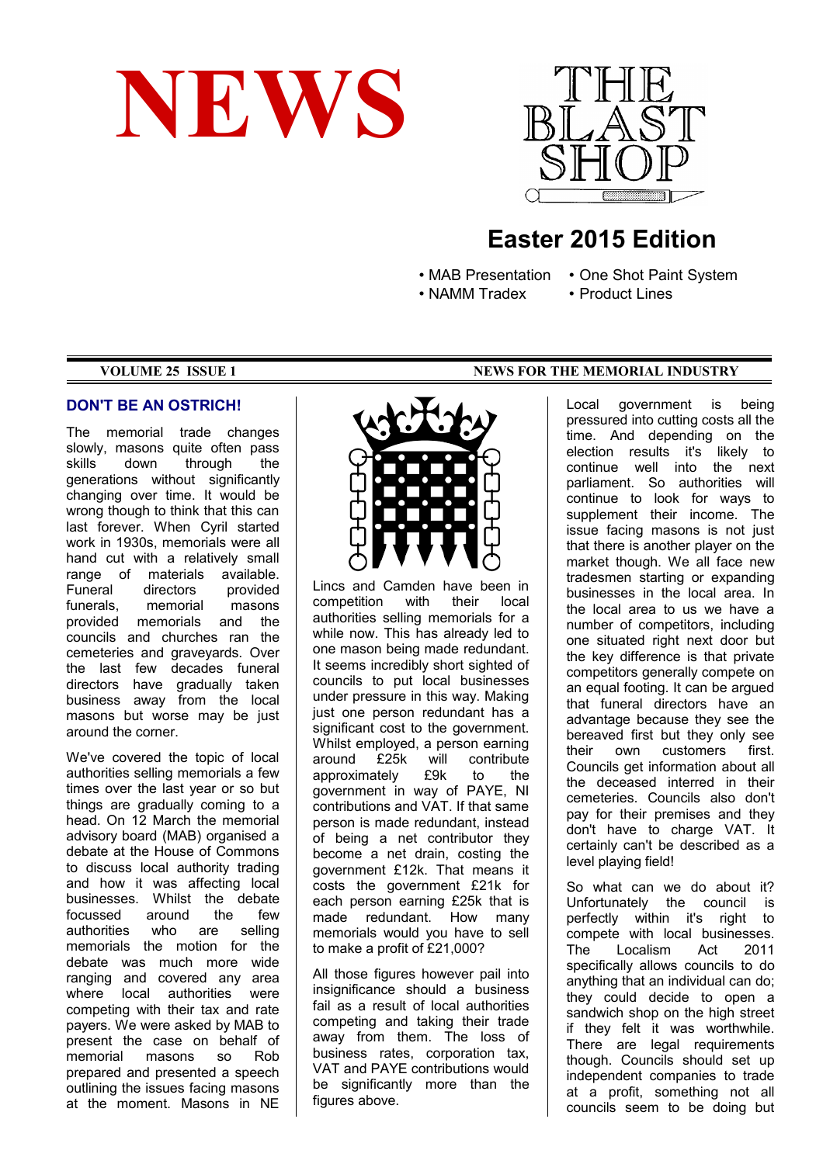



# **Easter 2015 Edition**

- MAB Presentation
- NAMM Tradex
- One Shot Paint System
- Product Lines

### **DON'T BE AN OSTRICH!**

The memorial trade changes slowly, masons quite often pass skills down through the generations without significantly changing over time. It would be wrong though to think that this can last forever. When Cyril started work in 1930s, memorials were all hand cut with a relatively small range of materials available. Funeral directors provided funerals, memorial masons provided memorials and the councils and churches ran the cemeteries and graveyards. Over the last few decades funeral directors have gradually taken business away from the local masons but worse may be just around the corner.

We've covered the topic of local authorities selling memorials a few times over the last year or so but things are gradually coming to a head. On 12 March the memorial advisory board (MAB) organised a debate at the House of Commons to discuss local authority trading and how it was affecting local businesses. Whilst the debate focussed around the few authorities who are selling memorials the motion for the debate was much more wide ranging and covered any area where local authorities were competing with their tax and rate payers. We were asked by MAB to present the case on behalf of memorial masons so Rob prepared and presented a speech outlining the issues facing masons at the moment. Masons in NE



Lincs and Camden have been in competition with their local authorities selling memorials for a while now. This has already led to one mason being made redundant. It seems incredibly short sighted of councils to put local businesses under pressure in this way. Making just one person redundant has a significant cost to the government. Whilst employed, a person earning around £25k will contribute approximately £9k to the government in way of PAYE, NI contributions and VAT. If that same person is made redundant, instead of being a net contributor they become a net drain, costing the government £12k. That means it costs the government £21k for each person earning £25k that is made redundant. How many memorials would you have to sell to make a profit of £21,000?

All those figures however pail into insignificance should a business fail as a result of local authorities competing and taking their trade away from them. The loss of business rates, corporation tax, VAT and PAYE contributions would be significantly more than the figures above.

### **VOLUME 25 ISSUE 1 NEWS FOR THE MEMORIAL INDUSTRY**

Local government is being pressured into cutting costs all the time. And depending on the election results it's likely to continue well into the next parliament. So authorities will continue to look for ways to supplement their income. The issue facing masons is not just that there is another player on the market though. We all face new tradesmen starting or expanding businesses in the local area. In the local area to us we have a number of competitors, including one situated right next door but the key difference is that private competitors generally compete on an equal footing. It can be argued that funeral directors have an advantage because they see the bereaved first but they only see their own customers first. Councils get information about all the deceased interred in their cemeteries. Councils also don't pay for their premises and they don't have to charge VAT. It certainly can't be described as a level playing field!

So what can we do about it? Unfortunately the council is perfectly within it's right to compete with local businesses. The Localism Act 2011 specifically allows councils to do anything that an individual can do; they could decide to open a sandwich shop on the high street if they felt it was worthwhile. There are legal requirements though. Councils should set up independent companies to trade at a profit, something not all councils seem to be doing but